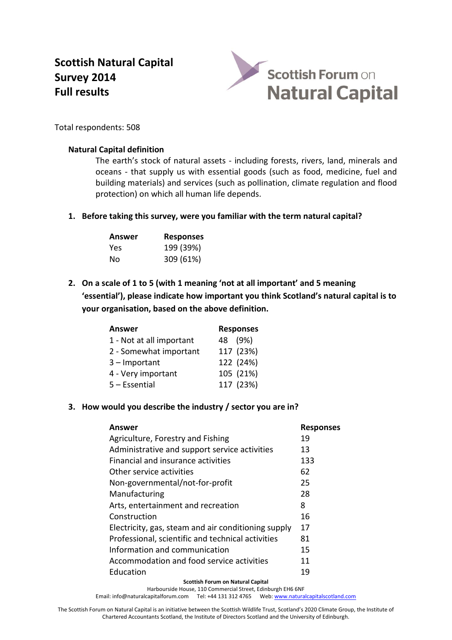# **Scottish Natural Capital Survey 2014 Full results**



Total respondents: 508

#### **Natural Capital definition**

The earth's stock of natural assets - including forests, rivers, land, minerals and oceans - that supply us with essential goods (such as food, medicine, fuel and building materials) and services (such as pollination, climate regulation and flood protection) on which all human life depends.

**1. Before taking this survey, were you familiar with the term natural capital?**

| Answer | <b>Responses</b> |
|--------|------------------|
| Yes    | 199 (39%)        |
| Nο     | 309 (61%)        |

**2. On a scale of 1 to 5 (with 1 meaning 'not at all important' and 5 meaning 'essential'), please indicate how important you think Scotland's natural capital is to your organisation, based on the above definition.**

| <b>Answer</b>            | <b>Responses</b> |
|--------------------------|------------------|
| 1 - Not at all important | 48 (9%)          |
| 2 - Somewhat important   | 117 (23%)        |
| $3$ – Important          | 122 (24%)        |
| 4 - Very important       | 105 (21%)        |
| $5 - E$ ssential         | 117 (23%)        |

## **3. How would you describe the industry / sector you are in?**

| Answer                                              | <b>Responses</b> |
|-----------------------------------------------------|------------------|
| Agriculture, Forestry and Fishing                   | 19               |
| Administrative and support service activities       | 13               |
| Financial and insurance activities                  | 133              |
| Other service activities                            | 62               |
| Non-governmental/not-for-profit                     | 25               |
| Manufacturing                                       | 28               |
| Arts, entertainment and recreation                  | 8                |
| Construction                                        | 16               |
| Electricity, gas, steam and air conditioning supply | 17               |
| Professional, scientific and technical activities   | 81               |
| Information and communication                       | 15               |
| Accommodation and food service activities           | 11               |
| Education                                           | 19               |
| <b>Scottish Forum on Natural Capital</b>            |                  |

Harbourside House, 110 Commercial Street, Edinburgh EH6 6NF Email[: info@naturalcapitalforum.com](mailto:info@naturalcapitalforum.com) Tel: +44 131 312 4765 Web[: www.naturalcapitalscotland.com](http://www.naturalcapitalscotland.com/)

The Scottish Forum on Natural Capital is an initiative between the Scottish Wildlife Trust, Scotland's 2020 Climate Group, the Institute of Chartered Accountants Scotland, the Institute of Directors Scotland and the University of Edinburgh.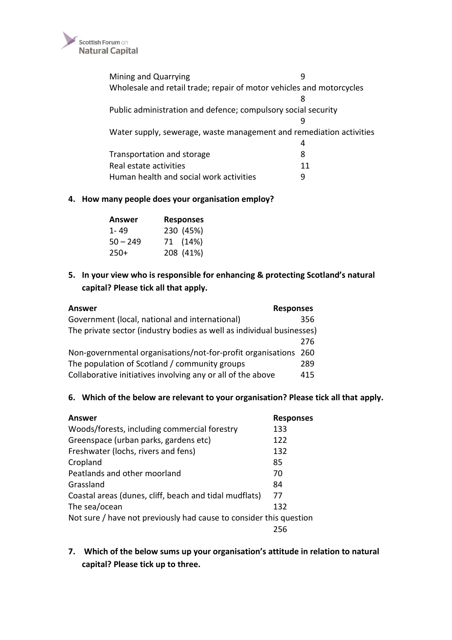

Mining and Quarrying **9** Wholesale and retail trade; repair of motor vehicles and motorcycles 8 Public administration and defence; compulsory social security 9 Water supply, sewerage, waste management and remediation activities 4 Transportation and storage and storage and storage and storage states are set of  $\sim$  8 Real estate activities 11 Human health and social work activities 9

### **4. How many people does your organisation employ?**

| Answer     | <b>Responses</b> |
|------------|------------------|
| 1-49       | 230 (45%)        |
| $50 - 249$ | 71 (14%)         |
| $250+$     | 208 (41%)        |

# **5. In your view who is responsible for enhancing & protecting Scotland's natural capital? Please tick all that apply.**

| <b>Answer</b>                                                         | <b>Responses</b> |     |
|-----------------------------------------------------------------------|------------------|-----|
| Government (local, national and international)                        |                  | 356 |
| The private sector (industry bodies as well as individual businesses) |                  |     |
|                                                                       |                  | 276 |
| Non-governmental organisations/not-for-profit organisations 260       |                  |     |
| The population of Scotland / community groups                         |                  | 289 |
| Collaborative initiatives involving any or all of the above           |                  | 415 |

#### **6. Which of the below are relevant to your organisation? Please tick all that apply.**

| Answer                                                             | <b>Responses</b> |
|--------------------------------------------------------------------|------------------|
| Woods/forests, including commercial forestry                       | 133              |
| Greenspace (urban parks, gardens etc)                              | 122              |
| Freshwater (lochs, rivers and fens)                                | 132              |
| Cropland                                                           | 85               |
| Peatlands and other moorland                                       | 70               |
| Grassland                                                          | 84               |
| Coastal areas (dunes, cliff, beach and tidal mudflats)             | 77               |
| The sea/ocean                                                      | 132              |
| Not sure / have not previously had cause to consider this question |                  |
|                                                                    | 256              |

**7. Which of the below sums up your organisation's attitude in relation to natural capital? Please tick up to three.**